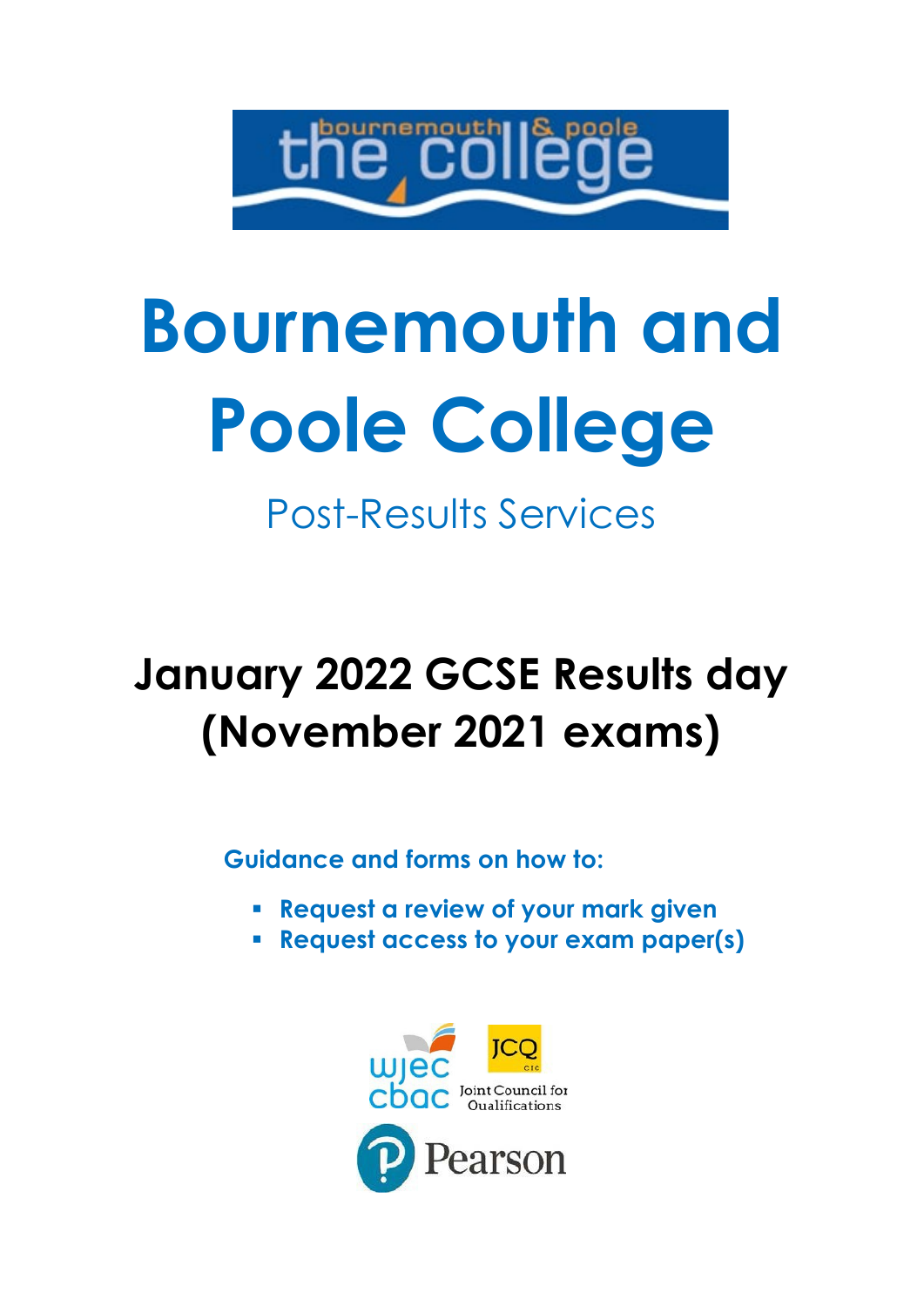

# **Bournemouth and Poole College**

Post-Results Services

# **January 2022 GCSE Results day (November 2021 exams)**

**Guidance and forms on how to:**

- **Request a review of your mark given**
- **Request access to your exam paper(s)**

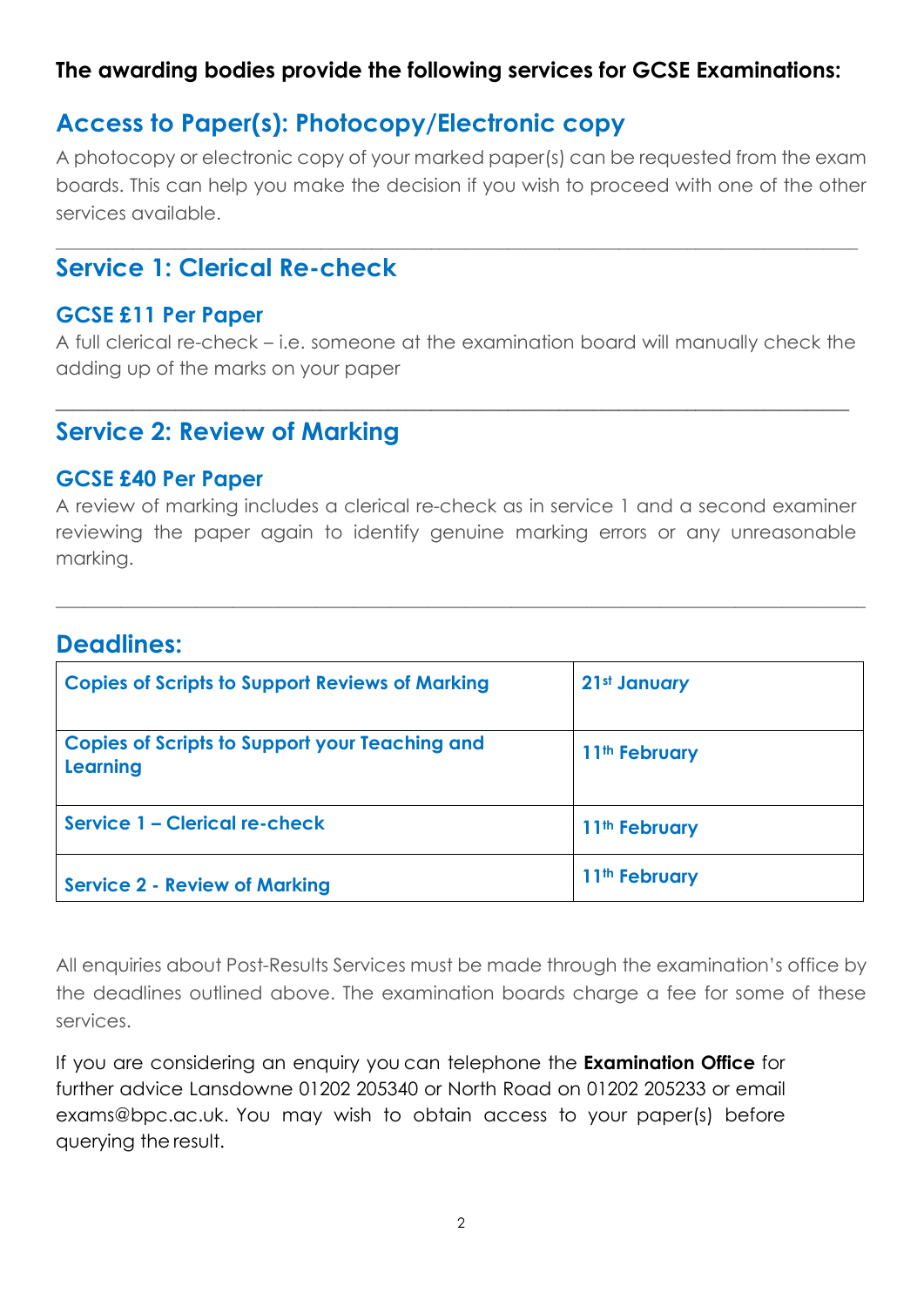#### **The awarding bodies provide the following services for GCSE Examinations:**

### **Access to Paper(s): Photocopy/Electronic copy**

A photocopy or electronic copy of your marked paper(s) can be requested from the exam boards. This can help you make the decision if you wish to proceed with one of the other services available.

\_\_\_\_\_\_\_\_\_\_\_\_\_\_\_\_\_\_\_\_\_\_\_\_\_\_\_\_\_\_\_\_\_\_\_\_\_\_\_\_\_\_\_\_\_\_\_\_\_\_\_\_\_\_\_\_\_\_\_\_\_\_\_\_\_\_\_\_\_\_\_\_\_\_\_\_\_\_\_\_\_\_\_\_\_\_\_\_\_\_\_\_\_\_

#### **Service 1: Clerical Re-check**

#### **GCSE £11 Per Paper**

A full clerical re-check – i.e. someone at the examination board will manually check the adding up of the marks on your paper

\_\_\_\_\_\_\_\_\_\_\_\_\_\_\_\_\_\_\_\_\_\_\_\_\_\_\_\_\_\_\_\_\_\_\_\_\_\_\_\_\_\_\_\_\_\_\_\_\_\_\_\_\_\_\_\_\_\_\_\_\_\_\_\_\_\_\_\_\_\_\_\_\_\_\_\_\_\_\_\_\_\_\_\_\_\_\_\_\_\_\_\_\_

#### **Service 2: Review of Marking**

#### **GCSE £40 Per Paper**

A review of marking includes a clerical re-check as in service 1 and a second examiner reviewing the paper again to identify genuine marking errors or any unreasonable marking.

\_\_\_\_\_\_\_\_\_\_\_\_\_\_\_\_\_\_\_\_\_\_\_\_\_\_\_\_\_\_\_\_\_\_\_\_\_\_\_\_\_\_\_\_\_\_\_\_\_\_\_\_\_\_\_\_\_\_\_\_\_\_\_\_\_\_\_\_\_\_\_\_\_\_\_\_\_\_\_\_\_\_\_\_\_\_\_

#### **Deadlines:**

| <b>Copies of Scripts to Support Reviews of Marking</b>            | 21st January              |
|-------------------------------------------------------------------|---------------------------|
| <b>Copies of Scripts to Support your Teaching and</b><br>Learning | 11 <sup>th</sup> February |
| Service 1 - Clerical re-check                                     | 11 <sup>th</sup> February |
| <b>Service 2 - Review of Marking</b>                              | 11 <sup>th</sup> February |

All enquiries about Post-Results Services must be made through the examination's office by the deadlines outlined above. The examination boards charge a fee for some of these services.

If you are considering an enquiry you can telephone the **Examination Office** for further advice Lansdowne 01202 205340 or North Road on 01202 205233 or email exams@bpc.ac.uk. You may wish to obtain access to your paper(s) before querying the result.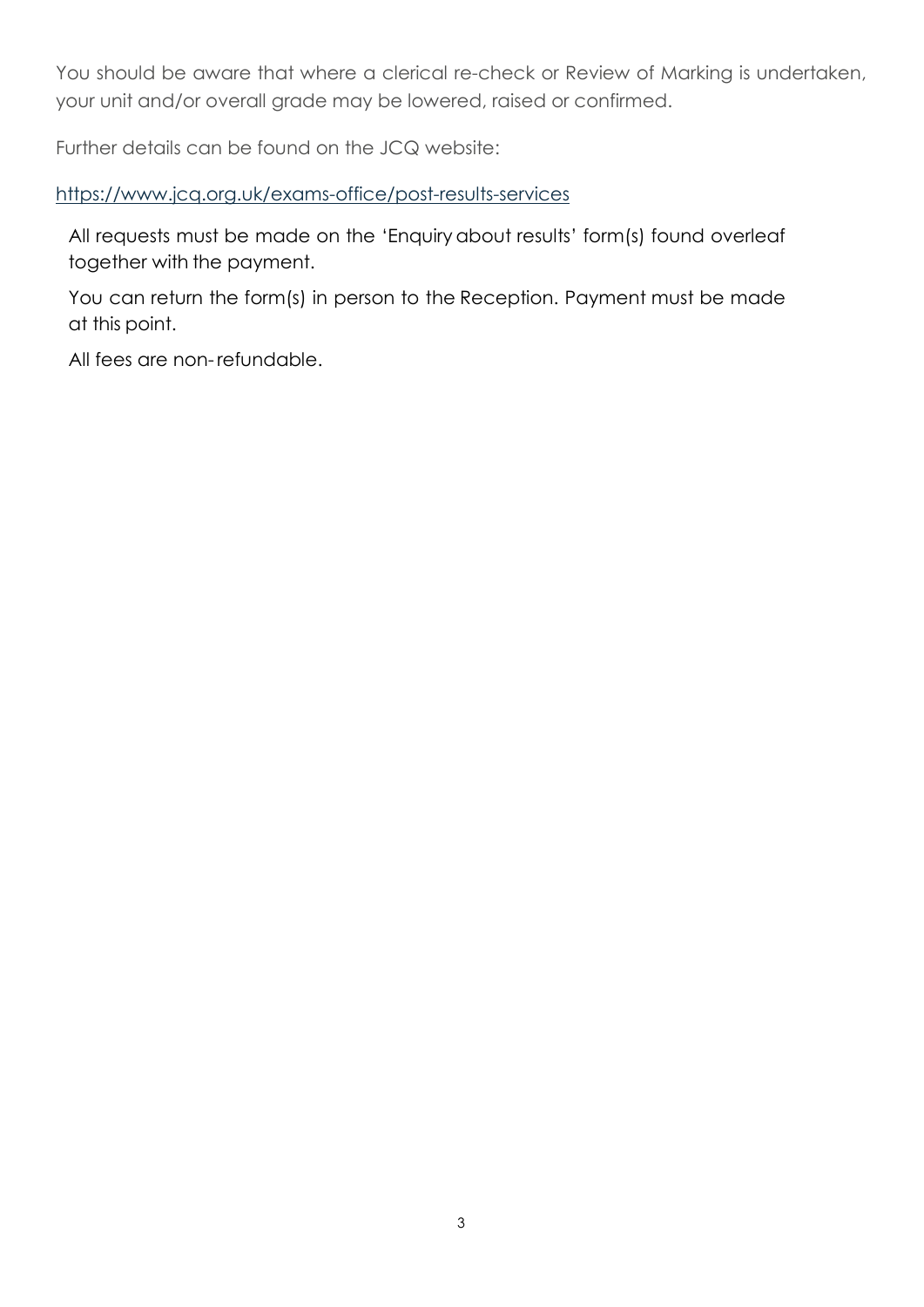You should be aware that where a clerical re-check or Review of Marking is undertaken, your unit and/or overall grade may be lowered, raised or confirmed.

Further details can be found on the JCQ website:

<https://www.jcq.org.uk/exams-office/post-results-services>

All requests must be made on the 'Enquiry about results' form(s) found overleaf together with the payment.

You can return the form(s) in person to the Reception. Payment must be made at this point.

All fees are non-refundable.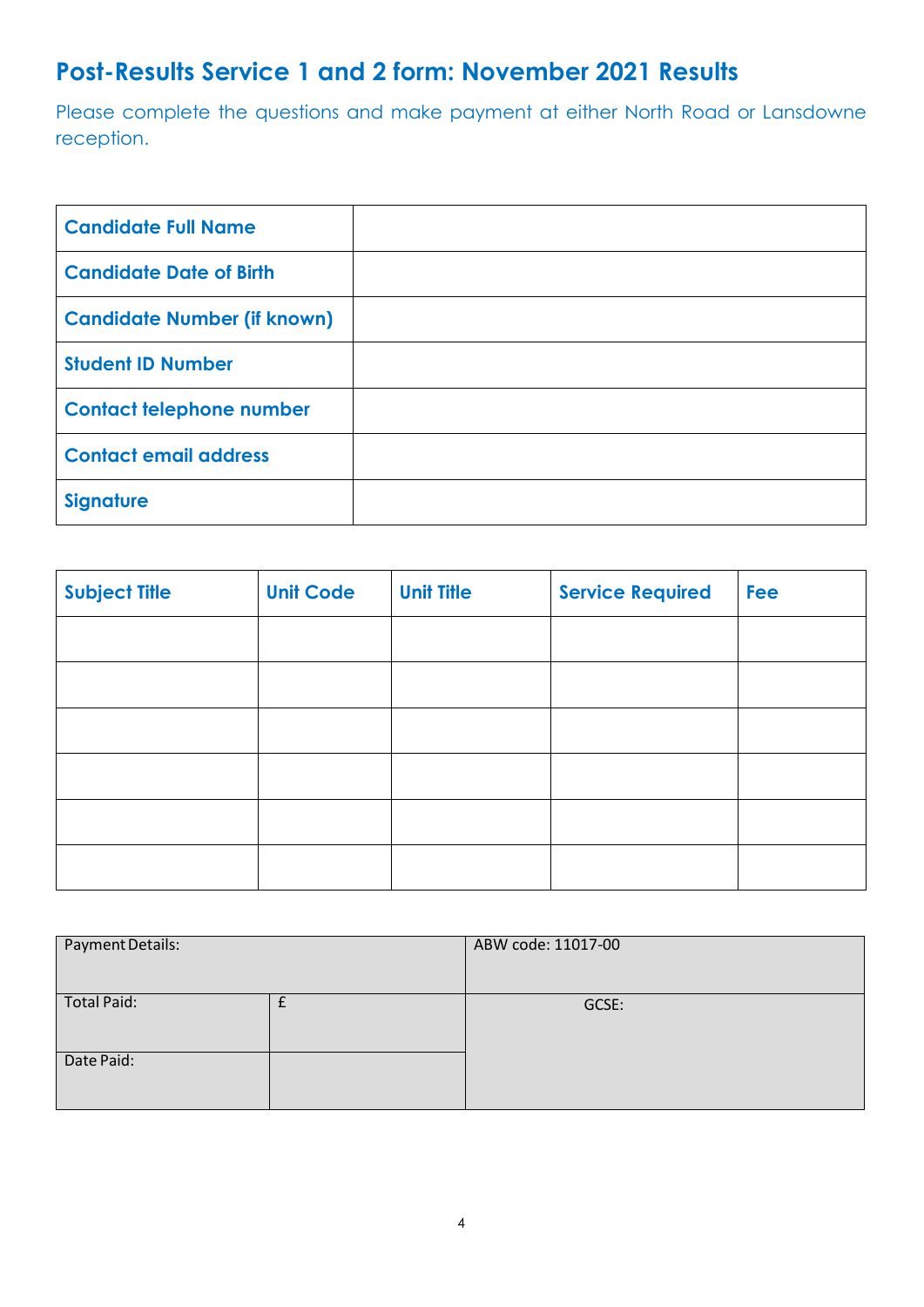# **Post-Results Service 1 and 2 form: November 2021 Results**

Please complete the questions and make payment at either North Road or Lansdowne reception.

| <b>Candidate Full Name</b>         |  |
|------------------------------------|--|
| <b>Candidate Date of Birth</b>     |  |
| <b>Candidate Number (if known)</b> |  |
| <b>Student ID Number</b>           |  |
| <b>Contact telephone number</b>    |  |
| <b>Contact email address</b>       |  |
| <b>Signature</b>                   |  |

| <b>Subject Title</b> | <b>Unit Code</b> | <b>Unit Title</b> | <b>Service Required</b> | <b>Fee</b> |
|----------------------|------------------|-------------------|-------------------------|------------|
|                      |                  |                   |                         |            |
|                      |                  |                   |                         |            |
|                      |                  |                   |                         |            |
|                      |                  |                   |                         |            |
|                      |                  |                   |                         |            |
|                      |                  |                   |                         |            |

| Payment Details:   | ABW code: 11017-00 |
|--------------------|--------------------|
| <b>Total Paid:</b> | GCSE:              |
|                    |                    |
| Date Paid:         |                    |
|                    |                    |